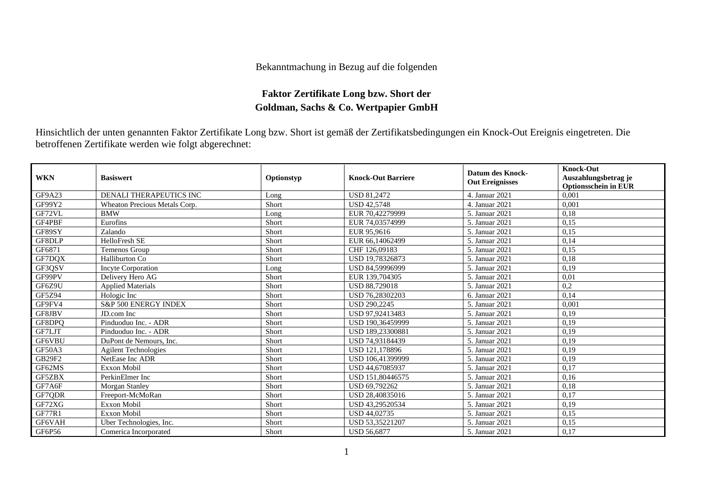## Bekanntmachung in Bezug auf die folgenden

## **Faktor Zertifikate Long bzw. Short der Goldman, Sachs & Co. Wertpapier GmbH**

Hinsichtlich der unten genannten Faktor Zertifikate Long bzw. Short ist gemäß der Zertifikatsbedingungen ein Knock-Out Ereignis eingetreten. Die betroffenen Zertifikate werden wie folgt abgerechnet:

| <b>WKN</b>    | <b>Basiswert</b>              | Optionstyp | <b>Knock-Out Barriere</b> | <b>Datum des Knock-</b><br><b>Out Ereignisses</b> | <b>Knock-Out</b><br>Auszahlungsbetrag je<br><b>Optionsschein in EUR</b> |
|---------------|-------------------------------|------------|---------------------------|---------------------------------------------------|-------------------------------------------------------------------------|
| GF9A23        | DENALI THERAPEUTICS INC       | Long       | <b>USD 81,2472</b>        | 4. Januar 2021                                    | 0,001                                                                   |
| GF99Y2        | Wheaton Precious Metals Corp. | Short      | <b>USD 42.5748</b>        | 4. Januar 2021                                    | 0,001                                                                   |
| GF72VL        | <b>BMW</b>                    | Long       | EUR 70.42279999           | 5. Januar 2021                                    | 0,18                                                                    |
| GF4PBF        | Eurofins                      | Short      | EUR 74,03574999           | 5. Januar 2021                                    | 0,15                                                                    |
| GF89SY        | Zalando                       | Short      | EUR 95.9616               | 5. Januar 2021                                    | 0,15                                                                    |
| GF8DLP        | <b>HelloFresh SE</b>          | Short      | EUR 66,14062499           | 5. Januar 2021                                    | 0,14                                                                    |
| GF6871        | Temenos Group                 | Short      | CHF 126,09183             | 5. Januar 2021                                    | 0,15                                                                    |
| GF7DOX        | Halliburton Co                | Short      | USD 19,78326873           | 5. Januar 2021                                    | 0,18                                                                    |
| GF3QSV        | <b>Incyte Corporation</b>     | Long       | USD 84,59996999           | 5. Januar 2021                                    | 0,19                                                                    |
| GF99PV        | Delivery Hero AG              | Short      | EUR 139,704305            | 5. Januar 2021                                    | 0,01                                                                    |
| GF6Z9U        | <b>Applied Materials</b>      | Short      | <b>USD 88,729018</b>      | 5. Januar 2021                                    | 0,2                                                                     |
| GF5Z94        | Hologic Inc                   | Short      | USD 76.28302203           | 6. Januar 2021                                    | 0,14                                                                    |
| GF9FV4        | S&P 500 ENERGY INDEX          | Short      | <b>USD 290,2245</b>       | 5. Januar 2021                                    | 0,001                                                                   |
| GF8JBV        | JD.com Inc                    | Short      | USD 97,92413483           | 5. Januar 2021                                    | 0,19                                                                    |
| GF8DPQ        | Pinduoduo Inc. - ADR          | Short      | USD 190,36459999          | 5. Januar 2021                                    | 0,19                                                                    |
| GF7LJT        | Pinduoduo Inc. - ADR          | Short      | USD 189,23300881          | 5. Januar 2021                                    | 0,19                                                                    |
| GF6VBU        | DuPont de Nemours, Inc.       | Short      | USD 74,93184439           | 5. Januar 2021                                    | 0,19                                                                    |
| GF50A3        | <b>Agilent Technologies</b>   | Short      | USD 121.178896            | 5. Januar 2021                                    | 0,19                                                                    |
| <b>GB29F2</b> | NetEase Inc ADR               | Short      | USD 106,41399999          | 5. Januar 2021                                    | 0,19                                                                    |
| GF62MS        | <b>Exxon Mobil</b>            | Short      | USD 44,67085937           | 5. Januar 2021                                    | 0,17                                                                    |
| GF5ZBX        | PerkinElmer Inc               | Short      | USD 151,80446575          | 5. Januar 2021                                    | 0,16                                                                    |
| GF7A6F        | Morgan Stanley                | Short      | USD 69.792262             | 5. Januar 2021                                    | 0,18                                                                    |
| GF7QDR        | Freeport-McMoRan              | Short      | USD 28,40835016           | 5. Januar 2021                                    | 0,17                                                                    |
| GF72XG        | <b>Exxon Mobil</b>            | Short      | USD 43,29520534           | 5. Januar 2021                                    | 0,19                                                                    |
| <b>GF77R1</b> | <b>Exxon Mobil</b>            | Short      | USD 44,02735              | 5. Januar 2021                                    | 0,15                                                                    |
| GF6VAH        | Uber Technologies, Inc.       | Short      | USD 53,35221207           | 5. Januar 2021                                    | 0,15                                                                    |
| GF6P56        | Comerica Incorporated         | Short      | <b>USD 56,6877</b>        | 5. Januar 2021                                    | 0,17                                                                    |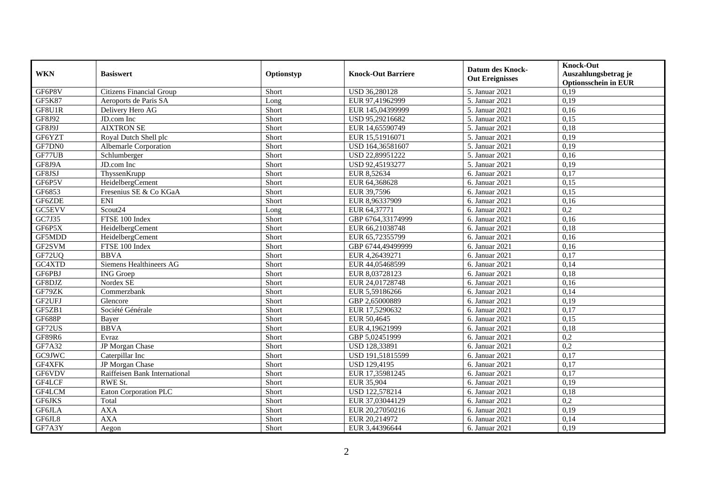| <b>WKN</b>    | <b>Basiswert</b>              | Optionstyp | <b>Knock-Out Barriere</b> | <b>Datum des Knock-</b><br><b>Out Ereignisses</b> | <b>Knock-Out</b><br>Auszahlungsbetrag je<br><b>Optionsschein in EUR</b> |
|---------------|-------------------------------|------------|---------------------------|---------------------------------------------------|-------------------------------------------------------------------------|
| GF6P8V        | Citizens Financial Group      | Short      | USD 36,280128             | 5. Januar 2021                                    | 0,19                                                                    |
| <b>GF5K87</b> | Aeroports de Paris SA         | Long       | EUR 97,41962999           | 5. Januar 2021                                    | 0,19                                                                    |
| GF8U1R        | Delivery Hero AG              | Short      | EUR 145,04399999          | 5. Januar 2021                                    | 0,16                                                                    |
| GF8J92        | JD.com Inc                    | Short      | USD 95.29216682           | 5. Januar 2021                                    | 0.15                                                                    |
| GF8J9J        | <b>AIXTRON SE</b>             | Short      | EUR 14,65590749           | 5. Januar 2021                                    | 0,18                                                                    |
| GF6YZT        | Royal Dutch Shell plc         | Short      | EUR 15,51916071           | 5. Januar 2021                                    | 0,19                                                                    |
| GF7DN0        | Albemarle Corporation         | Short      | USD 164,36581607          | 5. Januar 2021                                    | 0,19                                                                    |
| GF77UB        | Schlumberger                  | Short      | USD 22,89951222           | 5. Januar 2021                                    | 0,16                                                                    |
| GF8J9A        | JD.com Inc                    | Short      | USD 92,45193277           | 5. Januar 2021                                    | 0,19                                                                    |
| GF8JSJ        | ThyssenKrupp                  | Short      | EUR 8,52634               | 6. Januar 2021                                    | 0,17                                                                    |
| GF6P5V        | HeidelbergCement              | Short      | EUR 64,368628             | 6. Januar 2021                                    | 0,15                                                                    |
| GF6853        | Fresenius SE & Co KGaA        | Short      | EUR 39,7596               | 6. Januar 2021                                    | 0,15                                                                    |
| GF6ZDE        | <b>ENI</b>                    | Short      | EUR 8,96337909            | 6. Januar 2021                                    | 0,16                                                                    |
| <b>GC5EVV</b> | Scout24                       | Long       | EUR 64,37771              | 6. Januar 2021                                    | 0,2                                                                     |
| GC7J35        | FTSE 100 Index                | Short      | GBP 6764,33174999         | 6. Januar 2021                                    | 0,16                                                                    |
| GF6P5X        | HeidelbergCement              | Short      | EUR 66,21038748           | 6. Januar 2021                                    | 0,18                                                                    |
| GF5MDD        | HeidelbergCement              | Short      | EUR 65,72355799           | 6. Januar 2021                                    | 0,16                                                                    |
| GF2SVM        | FTSE 100 Index                | Short      | GBP 6744,49499999         | 6. Januar 2021                                    | 0,16                                                                    |
| GF72UQ        | <b>BBVA</b>                   | Short      | EUR 4,26439271            | 6. Januar 2021                                    | 0,17                                                                    |
| GC4XTD        | Siemens Healthineers AG       | Short      | EUR 44,05468599           | 6. Januar 2021                                    | 0,14                                                                    |
| GF6PBJ        | <b>ING</b> Groep              | Short      | EUR 8,03728123            | 6. Januar 2021                                    | 0,18                                                                    |
| GF8DJZ        | Nordex SE                     | Short      | EUR 24,01728748           | 6. Januar 2021                                    | 0,16                                                                    |
| GF79ZK        | Commerzbank                   | Short      | EUR 5,59186266            | 6. Januar 2021                                    | 0,14                                                                    |
| GF2UFJ        | Glencore                      | Short      | GBP 2,65000889            | 6. Januar 2021                                    | 0,19                                                                    |
| GF5ZB1        | Société Générale              | Short      | EUR 17,5290632            | 6. Januar 2021                                    | 0,17                                                                    |
| <b>GF688P</b> | Bayer                         | Short      | EUR 50,4645               | 6. Januar 2021                                    | 0,15                                                                    |
| GF72US        | <b>BBVA</b>                   | Short      | EUR 4.19621999            | 6. Januar 2021                                    | 0,18                                                                    |
| GF89R6        | Evraz                         | Short      | GBP 5,02451999            | 6. Januar 2021                                    | $\overline{0.2}$                                                        |
| GF7A32        | JP Morgan Chase               | Short      | USD 128,33891             | 6. Januar 2021                                    | 0,2                                                                     |
| GC9JWC        | Caterpillar Inc               | Short      | USD 191,51815599          | 6. Januar 2021                                    | 0,17                                                                    |
| GF4XFK        | JP Morgan Chase               | Short      | USD 129,4195              | 6. Januar 2021                                    | 0,17                                                                    |
| GF6VDV        | Raiffeisen Bank International | Short      | EUR 17,35981245           | 6. Januar 2021                                    | 0,17                                                                    |
| GF4LCF        | RWE St.                       | Short      | EUR 35,904                | 6. Januar 2021                                    | 0,19                                                                    |
| GF4LCM        | Eaton Corporation PLC         | Short      | USD 122,578214            | 6. Januar 2021                                    | 0,18                                                                    |
| GF6JKS        | Total                         | Short      | EUR 37,03044129           | 6. Januar 2021                                    | 0,2                                                                     |
| GF6JLA        | <b>AXA</b>                    | Short      | EUR 20,27050216           | 6. Januar 2021                                    | 0,19                                                                    |
| GF6JL8        | <b>AXA</b>                    | Short      | EUR 20,214972             | 6. Januar 2021                                    | 0,14                                                                    |
| GF7A3Y        | Aegon                         | Short      | EUR 3,44396644            | 6. Januar 2021                                    | 0,19                                                                    |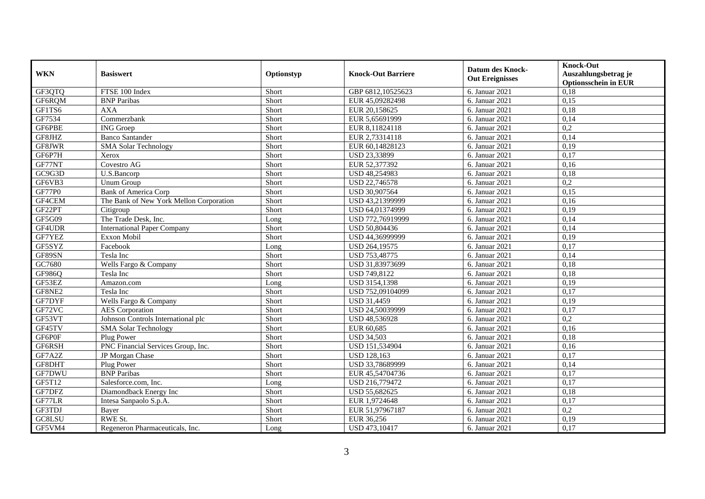| <b>WKN</b> | <b>Basiswert</b>                        | Optionstyp | <b>Knock-Out Barriere</b> | <b>Datum des Knock-</b><br><b>Out Ereignisses</b> | <b>Knock-Out</b><br>Auszahlungsbetrag je |
|------------|-----------------------------------------|------------|---------------------------|---------------------------------------------------|------------------------------------------|
| GF3QTQ     | FTSE 100 Index                          | Short      | GBP 6812,10525623         | 6. Januar 2021                                    | <b>Optionsschein in EUR</b><br>0,18      |
| GF6RQM     | <b>BNP</b> Paribas                      | Short      | EUR 45,09282498           | 6. Januar 2021                                    | 0,15                                     |
| GF1TS6     | <b>AXA</b>                              | Short      | EUR 20,158625             | 6. Januar 2021                                    | 0,18                                     |
| GF7534     | Commerzbank                             | Short      | EUR 5,65691999            | 6. Januar 2021                                    | 0,14                                     |
| GF6PBE     | <b>ING</b> Groep                        | Short      | EUR 8,11824118            | 6. Januar 2021                                    | 0,2                                      |
| GF8JHZ     | <b>Banco Santander</b>                  | Short      | EUR 2,73314118            | 6. Januar 2021                                    | 0,14                                     |
| GF8JWR     | <b>SMA Solar Technology</b>             | Short      | EUR 60,14828123           | 6. Januar 2021                                    | 0.19                                     |
| GF6P7H     | Xerox                                   | Short      | USD 23,33899              | 6. Januar 2021                                    | 0,17                                     |
| GF77NT     | Covestro AG                             | Short      | EUR 52,377392             | 6. Januar 2021                                    | 0,16                                     |
| GC9G3D     | U.S.Bancorp                             | Short      | USD 48,254983             | 6. Januar 2021                                    | 0,18                                     |
| GF6VB3     | <b>Unum Group</b>                       | Short      | USD 22,746578             | 6. Januar 2021                                    | 0,2                                      |
| GF77P0     | <b>Bank of America Corp</b>             | Short      | USD 30,907564             | 6. Januar 2021                                    | 0,15                                     |
| GF4CEM     | The Bank of New York Mellon Corporation | Short      | USD 43,21399999           | 6. Januar 2021                                    | 0,16                                     |
| GF22PT     | Citigroup                               | Short      | USD 64,01374999           | 6. Januar 2021                                    | 0.19                                     |
| GF5G09     | The Trade Desk, Inc.                    | Long       | USD 772,76919999          | 6. Januar 2021                                    | 0,14                                     |
| GF4UDR     | <b>International Paper Company</b>      | Short      | USD 50,804436             | 6. Januar 2021                                    | 0,14                                     |
| GF7YEZ     | Exxon Mobil                             | Short      | USD 44,36999999           | 6. Januar 2021                                    | 0,19                                     |
| GF5SYZ     | Facebook                                | Long       | USD 264,19575             | 6. Januar 2021                                    | 0,17                                     |
| GF89SN     | Tesla Inc                               | Short      | USD 753,48775             | 6. Januar $2021$                                  | 0,14                                     |
| GC7680     | Wells Fargo & Company                   | Short      | USD 31,83973699           | 6. Januar 2021                                    | 0,18                                     |
| GF986Q     | Tesla Inc                               | Short      | USD 749,8122              | 6. Januar 2021                                    | 0,18                                     |
| GF53EZ     | Amazon.com                              | Long       | USD 3154,1398             | 6. Januar 2021                                    | 0,19                                     |
| GF8NE2     | Tesla Inc                               | Short      | USD 752,09104099          | 6. Januar 2021                                    | 0,17                                     |
| GF7DYF     | Wells Fargo & Company                   | Short      | <b>USD 31,4459</b>        | 6. Januar 2021                                    | 0,19                                     |
| GF72VC     | <b>AES</b> Corporation                  | Short      | USD 24,50039999           | 6. Januar 2021                                    | 0,17                                     |
| GF53VT     | Johnson Controls International plc      | Short      | USD 48,536928             | 6. Januar 2021                                    | 0,2                                      |
| GF45TV     | <b>SMA Solar Technology</b>             | Short      | EUR 60,685                | 6. Januar $2021$                                  | 0,16                                     |
| GF6P0F     | Plug Power                              | Short      | <b>USD 34,503</b>         | 6. Januar 2021                                    | 0,18                                     |
| GF6RSH     | PNC Financial Services Group, Inc.      | Short      | USD 151,534904            | 6. Januar 2021                                    | 0,16                                     |
| GF7A2Z     | JP Morgan Chase                         | Short      | <b>USD 128,163</b>        | 6. Januar 2021                                    | 0,17                                     |
| GF8DHT     | Plug Power                              | Short      | USD 33,78689999           | 6. Januar 2021                                    | 0,14                                     |
| GF7DWU     | <b>BNP</b> Paribas                      | Short      | EUR 45,54704736           | 6. Januar 2021                                    | 0,17                                     |
| GF5T12     | Salesforce.com. Inc.                    | Long       | USD 216,779472            | 6. Januar 2021                                    | 0,17                                     |
| GF7DFZ     | Diamondback Energy Inc                  | Short      | USD 55,682625             | 6. Januar 2021                                    | 0,18                                     |
| GF77LR     | Intesa Sanpaolo S.p.A.                  | Short      | EUR 1,9724648             | 6. Januar 2021                                    | 0,17                                     |
| GF3TDJ     | Bayer                                   | Short      | EUR 51,97967187           | 6. Januar 2021                                    | 0,2                                      |
| GC8LSU     | RWE St.                                 | Short      | EUR 36,256                | 6. Januar 2021                                    | 0,19                                     |
| GF5VM4     | Regeneron Pharmaceuticals, Inc.         | Long       | USD 473,10417             | 6. Januar 2021                                    | 0,17                                     |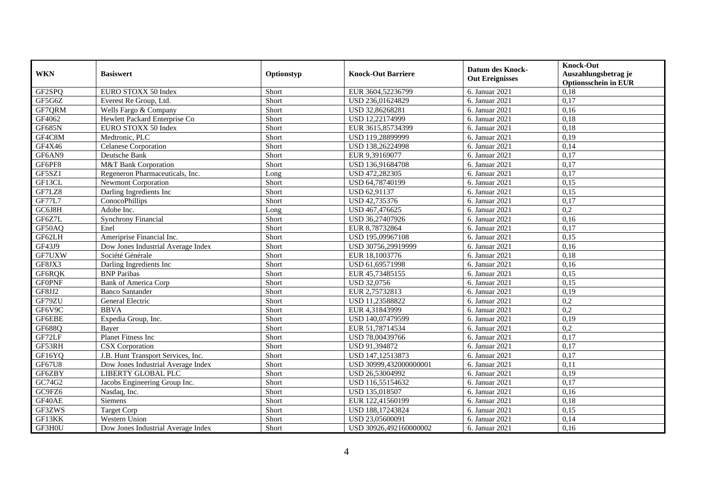| <b>WKN</b>    | <b>Basiswert</b>                   | Optionstyp | <b>Knock-Out Barriere</b> | <b>Datum des Knock-</b><br><b>Out Ereignisses</b> | <b>Knock-Out</b>                                    |
|---------------|------------------------------------|------------|---------------------------|---------------------------------------------------|-----------------------------------------------------|
|               |                                    |            |                           |                                                   | Auszahlungsbetrag je<br><b>Optionsschein in EUR</b> |
| GF2SPQ        | EURO STOXX 50 Index                | Short      | EUR 3604,52236799         | 6. Januar 2021                                    | 0,18                                                |
| GF5G6Z        | Everest Re Group, Ltd.             | Short      | USD 236,01624829          | 6. Januar 2021                                    | 0,17                                                |
| GF7QRM        | Wells Fargo & Company              | Short      | USD 32,86268281           | 6. Januar 2021                                    | 0,16                                                |
| GF4062        | Hewlett Packard Enterprise Co      | Short      | USD 12,22174999           | 6. Januar 2021                                    | 0,18                                                |
| <b>GF685N</b> | EURO STOXX 50 Index                | Short      | EUR 3615,85734399         | 6. Januar 2021                                    | 0,18                                                |
| GF4C8M        | Medtronic, PLC                     | Short      | USD 119,28899999          | 6. Januar 2021                                    | 0,19                                                |
| GF4X46        | <b>Celanese Corporation</b>        | Short      | USD 138,26224998          | 6. Januar 2021                                    | 0,14                                                |
| GF6AN9        | Deutsche Bank                      | Short      | EUR 9,39169077            | 6. Januar 2021                                    | 0,17                                                |
| GF6PF8        | <b>M&amp;T Bank Corporation</b>    | Short      | USD 136,91684708          | 6. Januar 2021                                    | 0,17                                                |
| GF5SZ1        | Regeneron Pharmaceuticals, Inc.    | Long       | USD 472,282305            | 6. Januar 2021                                    | 0,17                                                |
| GF13CL        | <b>Newmont Corporation</b>         | Short      | USD 64,78740199           | 6. Januar 2021                                    | 0,15                                                |
| GF7LZ8        | Darling Ingredients Inc            | Short      | USD 62,91137              | 6. Januar 2021                                    | 0,15                                                |
| GF77L7        | ConocoPhillips                     | Short      | USD 42,735376             | 6. Januar 2021                                    | 0,17                                                |
| GC6J8H        | Adobe Inc.                         | Long       | USD 467,476625            | 6. Januar 2021                                    | 0,2                                                 |
| GF6Z7L        | <b>Synchrony Financial</b>         | Short      | USD 36,27407926           | 6. Januar 2021                                    | 0,16                                                |
| GF50AQ        | Enel                               | Short      | EUR 8,78732864            | 6. Januar 2021                                    | 0,17                                                |
| GF62LH        | Ameriprise Financial Inc.          | Short      | USD 195,09967108          | 6. Januar 2021                                    | 0,15                                                |
| GF43J9        | Dow Jones Industrial Average Index | Short      | USD 30756.29919999        | 6. Januar 2021                                    | 0.16                                                |
| GF7UXW        | Société Générale                   | Short      | EUR 18,1003776            | 6. Januar 2021                                    | 0,18                                                |
| GF8JX3        | Darling Ingredients Inc            | Short      | USD 61,69571998           | 6. Januar 2021                                    | 0,16                                                |
| GF6RQK        | <b>BNP</b> Paribas                 | Short      | EUR 45,73485155           | 6. Januar 2021                                    | 0,15                                                |
| <b>GFOPNF</b> | <b>Bank of America Corp</b>        | Short      | USD 32,0756               | 6. Januar 2021                                    | 0,15                                                |
| GF8JJ2        | <b>Banco Santander</b>             | Short      | EUR 2,75732813            | 6. Januar 2021                                    | 0,19                                                |
| GF79ZU        | General Electric                   | Short      | USD 11,23588822           | 6. Januar 2021                                    | 0,2                                                 |
| GF6V9C        | <b>BBVA</b>                        | Short      | EUR 4,31843999            | 6. Januar 2021                                    | 0,2                                                 |
| GF6EBE        | Expedia Group, Inc.                | Short      | USD 140,07479599          | 6. Januar 2021                                    | 0,19                                                |
| GF688Q        | Bayer                              | Short      | EUR 51,78714534           | 6. Januar 2021                                    | $\overline{0.2}$                                    |
| GF72LF        | Planet Fitness Inc                 | Short      | USD 78,00439766           | 6. Januar 2021                                    | 0,17                                                |
| GF53RH        | CSX Corporation                    | Short      | USD 91,394872             | 6. Januar 2021                                    | 0,17                                                |
| GF16YQ        | J.B. Hunt Transport Services, Inc. | Short      | USD 147,12513873          | 6. Januar 2021                                    | 0,17                                                |
| <b>GF67U8</b> | Dow Jones Industrial Average Index | Short      | USD 30999,432000000001    | 6. Januar 2021                                    | 0,11                                                |
| GF6ZBY        | LIBERTY GLOBAL PLC                 | Short      | USD 26,53004992           | 6. Januar 2021                                    | 0.19                                                |
| GC74G2        | Jacobs Engineering Group Inc.      | Short      | USD 116,55154632          | 6. Januar 2021                                    | 0,17                                                |
| GC9FZ6        | Nasdaq, Inc.                       | Short      | USD 135,018507            | 6. Januar 2021                                    | 0,16                                                |
| GF40AE        | <b>Siemens</b>                     | Short      | EUR 122,41560199          | 6. Januar 2021                                    | 0,18                                                |
| GF3ZWS        | <b>Target Corp</b>                 | Short      | USD 188,17243824          | 6. Januar 2021                                    | 0,15                                                |
| GF13KK        | Western Union                      | Short      | USD 23,05600091           | 6. Januar 2021                                    | 0,14                                                |
| GF3H0U        | Dow Jones Industrial Average Index | Short      | USD 30926,492160000002    | 6. Januar 2021                                    | 0,16                                                |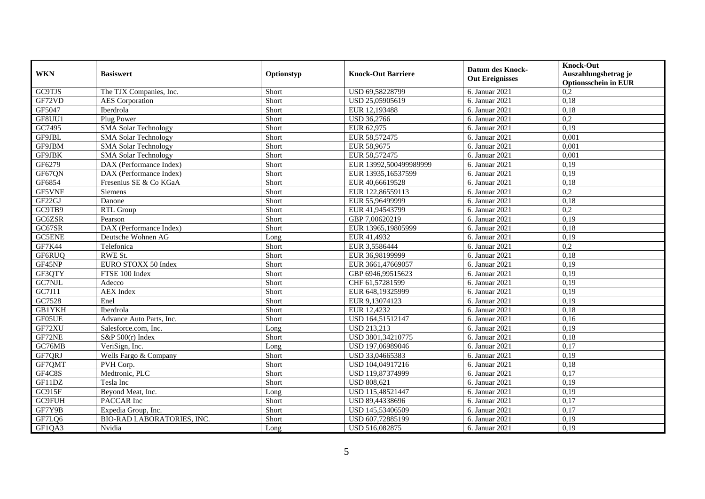| <b>WKN</b>    | <b>Basiswert</b>                    | Optionstyp | <b>Knock-Out Barriere</b> | <b>Datum des Knock-</b><br><b>Out Ereignisses</b> | <b>Knock-Out</b><br>Auszahlungsbetrag je<br><b>Optionsschein in EUR</b> |
|---------------|-------------------------------------|------------|---------------------------|---------------------------------------------------|-------------------------------------------------------------------------|
| <b>GC9TJS</b> | The TJX Companies, Inc.             | Short      | USD 69,58228799           | 6. Januar 2021                                    | 0,2                                                                     |
| GF72VD        | <b>AES</b> Corporation              | Short      | USD 25,05905619           | 6. Januar 2021                                    | 0,18                                                                    |
| GF5047        | Iberdrola                           | Short      | EUR 12,193488             | 6. Januar 2021                                    | 0,18                                                                    |
| GF8UU1        | Plug Power                          | Short      | <b>USD 36,2766</b>        | 6. Januar 2021                                    | 0.2                                                                     |
| GC7495        | <b>SMA Solar Technology</b>         | Short      | EUR 62,975                | 6. Januar 2021                                    | 0,19                                                                    |
| GF9JBL        | <b>SMA Solar Technology</b>         | Short      | EUR 58,572475             | 6. Januar 2021                                    | 0,001                                                                   |
| GF9JBM        | <b>SMA Solar Technology</b>         | Short      | EUR 58,9675               | 6. Januar 2021                                    | 0,001                                                                   |
| GF9JBK        | <b>SMA Solar Technology</b>         | Short      | EUR 58,572475             | 6. Januar 2021                                    | 0,001                                                                   |
| GF6279        | DAX (Performance Index)             | Short      | EUR 13992,500499989999    | 6. Januar 2021                                    | 0,19                                                                    |
| GF67QN        | DAX (Performance Index)             | Short      | EUR 13935, 16537599       | 6. Januar 2021                                    | 0,19                                                                    |
| GF6854        | Fresenius SE & Co KGaA              | Short      | EUR 40.66619528           | 6. Januar 2021                                    | 0,18                                                                    |
| GF5VNF        | <b>Siemens</b>                      | Short      | EUR 122,86559113          | 6. Januar 2021                                    | 0,2                                                                     |
| GF22GJ        | Danone                              | Short      | EUR 55,96499999           | 6. Januar 2021                                    | 0,18                                                                    |
| GC9TB9        | <b>RTL Group</b>                    | Short      | EUR 41,94543799           | 6. Januar 2021                                    | 0,2                                                                     |
| GC6ZSR        | Pearson                             | Short      | GBP 7,00620219            | 6. Januar 2021                                    | 0,19                                                                    |
| GC67SR        | DAX (Performance Index)             | Short      | EUR 13965,19805999        | 6. Januar 2021                                    | 0,18                                                                    |
| <b>GC5ENE</b> | Deutsche Wohnen AG                  | Long       | EUR 41,4932               | 6. Januar 2021                                    | 0,19                                                                    |
| <b>GF7K44</b> | Telefonica                          | Short      | EUR 3,5586444             | 6. Januar 2021                                    | 0,2                                                                     |
| GF6RUQ        | RWE St.                             | Short      | EUR 36,98199999           | 6. Januar 2021                                    | 0,18                                                                    |
| GF45NP        | EURO STOXX 50 Index                 | Short      | EUR 3661,47669057         | 6. Januar 2021                                    | 0,19                                                                    |
| GF3QTY        | FTSE 100 Index                      | Short      | GBP 6946,99515623         | 6. Januar 2021                                    | 0,19                                                                    |
| GC7NJL        | Adecco                              | Short      | CHF 61,57281599           | 6. Januar 2021                                    | 0,19                                                                    |
| GC7J11        | <b>AEX</b> Index                    | Short      | EUR 648,19325999          | 6. Januar 2021                                    | 0,19                                                                    |
| GC7528        | Enel                                | Short      | EUR 9,13074123            | 6. Januar 2021                                    | 0,19                                                                    |
| GB1YKH        | Iberdrola                           | Short      | EUR 12,4232               | 6. Januar 2021                                    | 0,18                                                                    |
| GF05UE        | Advance Auto Parts, Inc.            | Short      | USD 164,51512147          | 6. Januar 2021                                    | 0,16                                                                    |
| GF72XU        | Salesforce.com, Inc.                | Long       | <b>USD 213,213</b>        | 6. Januar 2021                                    | 0,19                                                                    |
| GF72NE        | S&P $500(r)$ Index                  | Short      | USD 3801,34210775         | 6. Januar 2021                                    | 0,18                                                                    |
| GC76MB        | $\overline{\text{VeriSign}}$ , Inc. | Long       | USD 197,06989046          | 6. Januar 2021                                    | 0,17                                                                    |
| GF7QRJ        | Wells Fargo & Company               | Short      | USD 33,04665383           | 6. Januar 2021                                    | 0,19                                                                    |
| GF7QMT        | PVH Corp.                           | Short      | USD 104,04917216          | 6. Januar 2021                                    | 0,18                                                                    |
| GF4C8S        | Medtronic, PLC                      | Short      | USD 119,87374999          | 6. Januar 2021                                    | 0,17                                                                    |
| GF11DZ        | Tesla Inc                           | Short      | <b>USD 808,621</b>        | 6. Januar 2021                                    | 0,19                                                                    |
| GC915F        | Beyond Meat, Inc.                   | Long       | USD 115,48521447          | 6. Januar 2021                                    | 0,19                                                                    |
| GC9FUH        | PACCAR Inc                          | Short      | USD 89,44338696           | 6. Januar 2021                                    | 0,17                                                                    |
| GF7Y9B        | Expedia Group, Inc.                 | Short      | USD 145,53406509          | 6. Januar 2021                                    | 0,17                                                                    |
| GF7LQ6        | BIO-RAD LABORATORIES, INC.          | Short      | USD 607,72885199          | 6. Januar 2021                                    | 0,19                                                                    |
| GF1QA3        | Nvidia                              | Long       | USD 516,082875            | 6. Januar 2021                                    | 0,19                                                                    |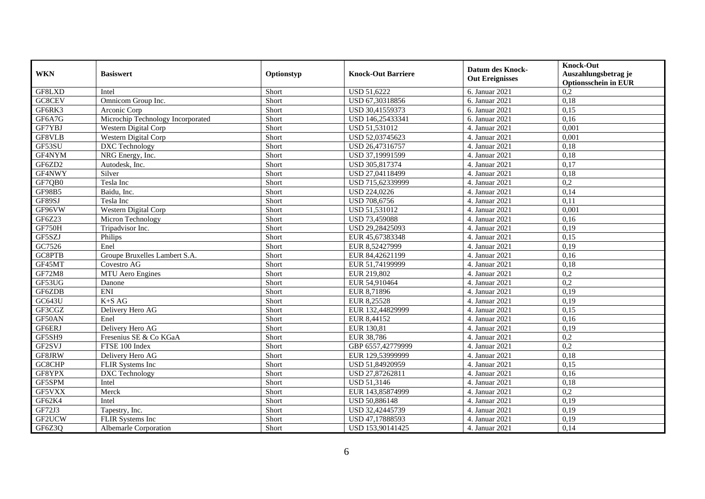| <b>WKN</b>    | <b>Basiswert</b>                  | Optionstyp | <b>Knock-Out Barriere</b> | <b>Datum des Knock-</b><br><b>Out Ereignisses</b> | <b>Knock-Out</b><br>Auszahlungsbetrag je<br><b>Optionsschein in EUR</b> |
|---------------|-----------------------------------|------------|---------------------------|---------------------------------------------------|-------------------------------------------------------------------------|
| GF8LXD        | Intel                             | Short      | <b>USD 51,6222</b>        | 6. Januar 2021                                    | $\overline{0.2}$                                                        |
| GC8CEV        | Omnicom Group Inc.                | Short      | USD 67,30318856           | 6. Januar 2021                                    | 0,18                                                                    |
| GF6RK3        | Arconic Corp                      | Short      | USD 30,41559373           | 6. Januar 2021                                    | 0,15                                                                    |
| GF6A7G        | Microchip Technology Incorporated | Short      | USD 146,25433341          | 6. Januar 2021                                    | 0,16                                                                    |
| GF7YBJ        | Western Digital Corp              | Short      | USD 51,531012             | 4. Januar 2021                                    | 0,001                                                                   |
| GF8VLB        | Western Digital Corp              | Short      | USD 52,03745623           | 4. Januar 2021                                    | 0,001                                                                   |
| GF53SU        | DXC Technology                    | Short      | USD 26,47316757           | 4. Januar 2021                                    | 0,18                                                                    |
| GF4NYM        | NRG Energy, Inc.                  | Short      | USD 37,19991599           | 4. Januar 2021                                    | 0,18                                                                    |
| GF6ZD2        | Autodesk, Inc.                    | Short      | USD 305,817374            | 4. Januar $20\overline{21}$                       | 0,17                                                                    |
| GF4NWY        | Silver                            | Short      | USD 27,04118499           | 4. Januar 2021                                    | 0,18                                                                    |
| GF7QB0        | Tesla Inc                         | Short      | USD 715,62339999          | 4. Januar 2021                                    | 0,2                                                                     |
| <b>GF98B5</b> | Baidu, Inc.                       | Short      | USD 224,0226              | 4. Januar 2021                                    | 0,14                                                                    |
| GF89SJ        | Tesla Inc                         | Short      | USD 708,6756              | 4. Januar 2021                                    | 0,11                                                                    |
| GF96VW        | Western Digital Corp              | Short      | USD 51,531012             | 4. Januar 2021                                    | 0,001                                                                   |
| GF6Z23        | Micron Technology                 | Short      | <b>USD 73,459088</b>      | 4. Januar 2021                                    | 0,16                                                                    |
| GF750H        | Tripadvisor Inc.                  | Short      | USD 29,28425093           | 4. Januar 2021                                    | 0,19                                                                    |
| GF5SZJ        | Philips                           | Short      | EUR 45,67383348           | 4. Januar 2021                                    | 0,15                                                                    |
| GC7526        | Enel                              | Short      | EUR 8,52427999            | 4. Januar 2021                                    | 0.19                                                                    |
| GC8PTB        | Groupe Bruxelles Lambert S.A.     | Short      | EUR 84,42621199           | 4. Januar 2021                                    | 0,16                                                                    |
| GF45MT        | Covestro AG                       | Short      | EUR 51,74199999           | 4. Januar 2021                                    | 0,18                                                                    |
| GF72M8        | MTU Aero Engines                  | Short      | EUR 219,802               | 4. Januar 2021                                    | $\overline{0.2}$                                                        |
| GF53UG        | Danone                            | Short      | EUR 54,910464             | 4. Januar 2021                                    | 0,2                                                                     |
| GF6ZDB        | ENI                               | Short      | EUR 8,71896               | 4. Januar 2021                                    | 0,19                                                                    |
| GC643U        | $K+SAG$                           | Short      | EUR 8,25528               | 4. Januar 2021                                    | 0,19                                                                    |
| GF3CGZ        | Delivery Hero AG                  | Short      | EUR 132,44829999          | 4. Januar 2021                                    | 0,15                                                                    |
| GF50AN        | Enel                              | Short      | EUR 8,44152               | 4. Januar 2021                                    | 0,16                                                                    |
| GF6ERJ        | Delivery Hero AG                  | Short      | EUR 130,81                | 4. Januar 2021                                    | 0,19                                                                    |
| GF5SH9        | Fresenius SE & Co KGaA            | Short      | EUR 38,786                | 4. Januar 2021                                    | 0,2                                                                     |
| GF2SVJ        | FTSE 100 Index                    | Short      | GBP 6557,42779999         | 4. Januar 2021                                    | $\overline{0.2}$                                                        |
| GF8JRW        | Delivery Hero AG                  | Short      | EUR 129,53999999          | 4. Januar 2021                                    | 0,18                                                                    |
| GC8CHP        | FLIR Systems Inc                  | Short      | USD 51,84920959           | 4. Januar 2021                                    | 0,15                                                                    |
| GF8YPX        | <b>DXC</b> Technology             | Short      | USD 27,87262811           | 4. Januar 2021                                    | 0,16                                                                    |
| GF5SPM        | Intel                             | Short      | USD 51,3146               | 4. Januar 2021                                    | 0,18                                                                    |
| GF5VXX        | Merck                             | Short      | EUR 143,85874999          | 4. Januar 2021                                    | 0.2                                                                     |
| GF62K4        | Intel                             | Short      | USD 50,886148             | 4. Januar 2021                                    | 0,19                                                                    |
| GF72J3        | Tapestry, Inc.                    | Short      | USD 32,42445739           | 4. Januar 2021                                    | 0,19                                                                    |
| GF2UCW        | FLIR Systems Inc                  | Short      | USD 47,17888593           | 4. Januar 2021                                    | 0,19                                                                    |
| GF6Z3Q        | Albemarle Corporation             | Short      | USD 153,90141425          | 4. Januar 2021                                    | 0,14                                                                    |